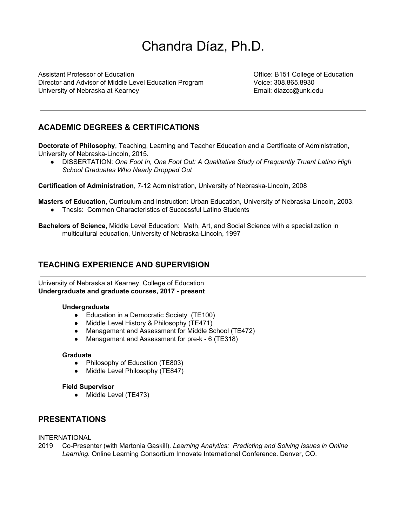# Chandra Díaz, Ph.D.

Assistant Professor of Education Office: B151 College of Education Director and Advisor of Middle Level Education Program Voice: 308.865.8930 University of Nebraska at Kearney **Email:** diazcc@unk.edu

# **ACADEMIC DEGREES & CERTIFICATIONS**

**Doctorate of Philosophy**, Teaching, Learning and Teacher Education and a Certificate of Administration, University of Nebraska-Lincoln, 2015.

● DISSERTATION: *One Foot In, One Foot Out: A Qualitative Study of Frequently Truant Latino High School Graduates Who Nearly Dropped Out*

**Certification of Administration**, 7-12 Administration, University of Nebraska-Lincoln, 2008

**Masters of Education,** Curriculum and Instruction: Urban Education, University of Nebraska-Lincoln, 2003.

● Thesis: Common Characteristics of Successful Latino Students

**Bachelors of Science**, Middle Level Education: Math, Art, and Social Science with a specialization in multicultural education, University of Nebraska-Lincoln, 1997

## **TEACHING EXPERIENCE AND SUPERVISION**

University of Nebraska at Kearney, College of Education **Undergraduate and graduate courses, 2017 - present**

#### **Undergraduate**

- Education in a Democratic Society (TE100)
- Middle Level History & Philosophy (TE471)
- Management and Assessment for Middle School (TE472)
- Management and Assessment for pre-k 6 (TE318)

#### **Graduate**

- Philosophy of Education (TE803)
- Middle Level Philosophy (TE847)

#### **Field Supervisor**

• Middle Level (TE473)

#### **PRESENTATIONS**

INTERNATIONAL

2019 Co-Presenter (with Martonia Gaskill). *Learning Analytics: Predicting and Solving Issues in Online Learning.* Online Learning Consortium Innovate International Conference. Denver, CO.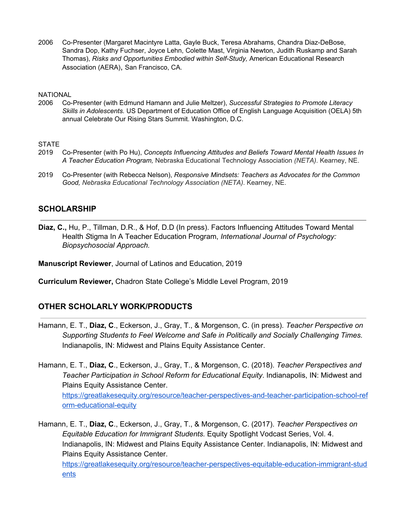2006 Co-Presenter (Margaret Macintyre Latta, Gayle Buck, Teresa Abrahams, Chandra Diaz-DeBose, Sandra Dop, Kathy Fuchser, Joyce Lehn, Colette Mast, Virginia Newton, Judith Ruskamp and Sarah Thomas), *Risks and Opportunities Embodied within Self-Study,* American Educational Research Association (AERA), San Francisco, CA.

#### **NATIONAL**

2006 Co-Presenter (with Edmund Hamann and Julie Meltzer), *Successful Strategies to Promote Literacy Skills in Adolescents.* US Department of Education Office of English Language Acquisition (OELA) 5th annual Celebrate Our Rising Stars Summit. Washington, D.C.

#### **STATE**

- 2019 Co-Presenter (with Po Hu), *Concepts Influencing Attitudes and Beliefs Toward Mental Health Issues In A Teacher Education Program,* Nebraska Educational Technology Association *(NETA)*. Kearney, NE.
- 2019 Co-Presenter (with Rebecca Nelson), *Responsive Mindsets: Teachers as Advocates for the Common Good, Nebraska Educational Technology Association (NETA)*. Kearney, NE.

#### **SCHOLARSHIP**

**Diaz, C.,** Hu, P., Tillman, D.R., & Hof, D.D (In press). Factors Influencing Attitudes Toward Mental Health *S*tigma In A Teacher Education Program, *International Journal of Psychology: Biopsychosocial Approach.*

**Manuscript Reviewer**, Journal of Latinos and Education, 2019

**Curriculum Reviewer,** Chadron State College's Middle Level Program, 2019

#### **OTHER SCHOLARLY WORK/PRODUCTS**

Hamann, E. T., **Diaz, C**., Eckerson, J., Gray, T., & Morgenson, C. (in press). *Teacher Perspective on Supporting Students to Feel Welcome and Safe in Politically and Socially Challenging Times.* Indianapolis, IN: Midwest and Plains Equity Assistance Center.

Hamann, E. T., **Diaz, C**., Eckerson, J., Gray, T., & Morgenson, C. (2018). *Teacher Perspectives and Teacher Participation in School Reform for Educational Equity*. Indianapolis, IN: Midwest and Plains Equity Assistance Center. [https://greatlakesequity.org/resource/teacher-perspectives-and-teacher-participation-school-ref](https://greatlakesequity.org/resource/teacher-perspectives-and-teacher-participation-school-reform-educational-equity) [orm-educational-equity](https://greatlakesequity.org/resource/teacher-perspectives-and-teacher-participation-school-reform-educational-equity)

Hamann, E. T., **Diaz, C**., Eckerson, J., Gray, T., & Morgenson, C. (2017). *Teacher Perspectives on Equitable Education for Immigrant Students.* Equity Spotlight Vodcast Series, Vol. 4. Indianapolis, IN: Midwest and Plains Equity Assistance Center. Indianapolis, IN: Midwest and Plains Equity Assistance Center. [https://greatlakesequity.org/resource/teacher-perspectives-equitable-education-immigrant-stud](https://greatlakesequity.org/resource/teacher-perspectives-equitable-education-immigrant-students)

[ents](https://greatlakesequity.org/resource/teacher-perspectives-equitable-education-immigrant-students)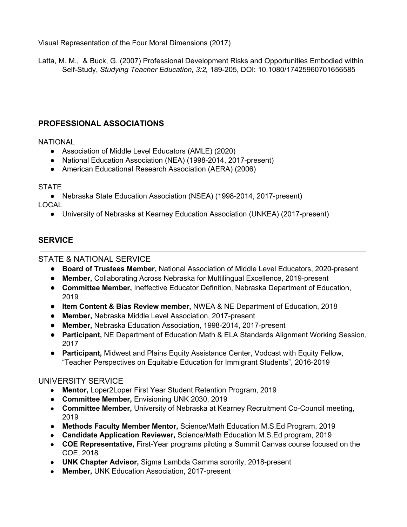Visual Representation of the Four Moral Dimensions (2017)

Latta, M. M., & Buck, G. (2007) Professional Development Risks and Opportunities Embodied within Self-Study, *Studying Teacher Education, 3:2,* 189-205, DOI: 10.1080/17425960701656585

# **PROFESSIONAL ASSOCIATIONS**

#### **NATIONAL**

- Association of Middle Level Educators (AMLE) (2020)
- National Education Association (NEA) (1998-2014, 2017-present)
- American Educational Research Association (AERA) (2006)

## **STATE**

● Nebraska State Education Association (NSEA) (1998-2014, 2017-present) LOCAL

● University of Nebraska at Kearney Education Association (UNKEA) (2017-present)

# **SERVICE**

# STATE & NATIONAL SERVICE

- **Board of Trustees Member,** National Association of Middle Level Educators, 2020-present
- **Member,** Collaborating Across Nebraska for Multilingual Excellence, 2019-present
- **Committee Member,** Ineffective Educator Definition, Nebraska Department of Education, 2019
- **Item Content & Bias Review member,** NWEA & NE Department of Education, 2018
- **Member,** Nebraska Middle Level Association, 2017-present
- **Member,** Nebraska Education Association, 1998-2014, 2017-present
- **Participant,** NE Department of Education Math & ELA Standards Alignment Working Session, 2017
- **Participant,** Midwest and Plains Equity Assistance Center, Vodcast with Equity Fellow, "Teacher Perspectives on Equitable Education for Immigrant Students", 2016-2019

## UNIVERSITY SERVICE

- **Mentor,** Loper2Loper First Year Student Retention Program, 2019
- **Committee Member,** Envisioning UNK 2030, 2019
- **Committee Member,** University of Nebraska at Kearney Recruitment Co-Council meeting, 2019
- **Methods Faculty Member Mentor,** Science/Math Education M.S.Ed Program, 2019
- **Candidate Application Reviewer,** Science/Math Education M.S.Ed program, 2019
- **COE Representative,** First-Year programs piloting a Summit Canvas course focused on the COE, 2018
- **UNK Chapter Advisor,** Sigma Lambda Gamma sorority, 2018-present
- **Member,** UNK Education Association, 2017-present